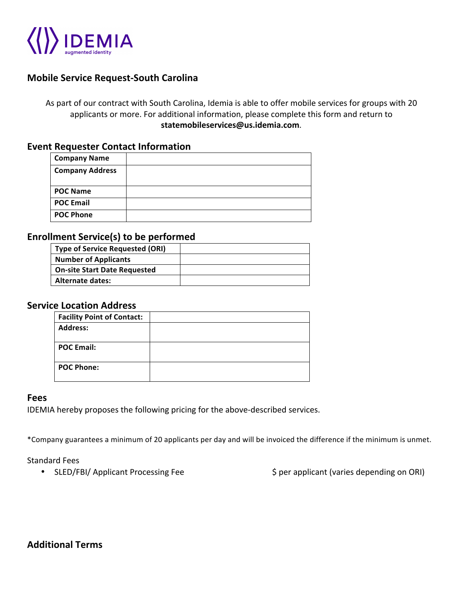

# **Mobile Service Request-South Carolina**

As part of our contract with South Carolina, Idemia is able to offer mobile services for groups with 20 applicants or more. For additional information, please complete this form and return to **statemobileservices@us.idemia.com**.

## **Event Requester Contact Information**

| <b>Company Name</b>    |  |
|------------------------|--|
| <b>Company Address</b> |  |
| <b>POC Name</b>        |  |
| <b>POC Email</b>       |  |
| <b>POC Phone</b>       |  |

## **Enrollment Service(s) to be performed**

| <b>Type of Service Requested (ORI)</b> |  |
|----------------------------------------|--|
| <b>Number of Applicants</b>            |  |
| <b>On-site Start Date Requested</b>    |  |
| Alternate dates:                       |  |
|                                        |  |

## **Service Location Address**

| <b>Facility Point of Contact:</b> |  |
|-----------------------------------|--|
| <b>Address:</b>                   |  |
| <b>POC Email:</b>                 |  |
| <b>POC Phone:</b>                 |  |

#### **Fees**

IDEMIA hereby proposes the following pricing for the above-described services.

\*Company guarantees a minimum of 20 applicants per day and will be invoiced the difference if the minimum is unmet.

Standard Fees

• SLED/FBI/ Applicant Processing Fee  $\begin{array}{ccc} \circ & \circ & \circ \\ \circ & \circ & \circ \end{array}$  per applicant (varies depending on ORI)